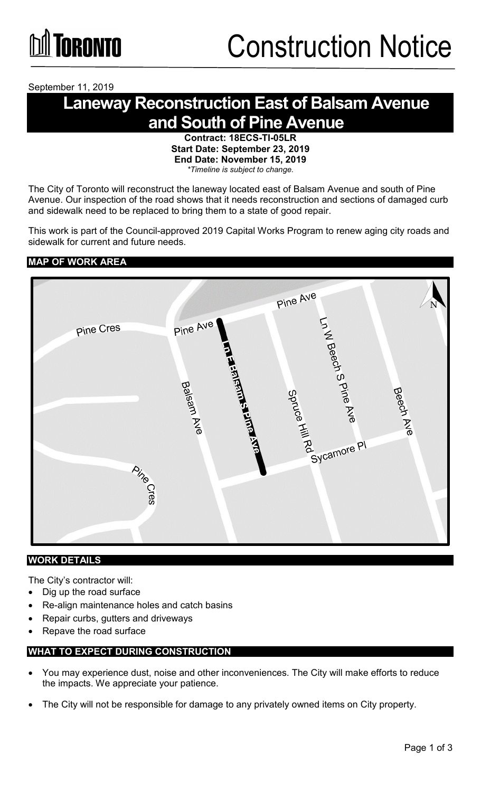September 11, 2019

### **Laneway Reconstruction East of Balsam Avenue and South of Pine Avenue**

**Contract: 18ECS-TI-05LR Start Date: September 23, 2019 End Date: November 15, 2019** *\*Timeline is subject to change.*

The City of Toronto will reconstruct the laneway located east of Balsam Avenue and south of Pine Avenue. Our inspection of the road shows that it needs reconstruction and sections of damaged curb and sidewalk need to be replaced to bring them to a state of good repair.

This work is part of the Council-approved 2019 Capital Works Program to renew aging city roads and sidewalk for current and future needs.

### **MAP OF WORK AREA**



### **WORK DETAILS**

The City's contractor will:

- Dig up the road surface
- Re-align maintenance holes and catch basins
- Repair curbs, gutters and driveways
- Repave the road surface

### **WHAT TO EXPECT DURING CONSTRUCTION**

- You may experience dust, noise and other inconveniences. The City will make efforts to reduce the impacts. We appreciate your patience.
- The City will not be responsible for damage to any privately owned items on City property.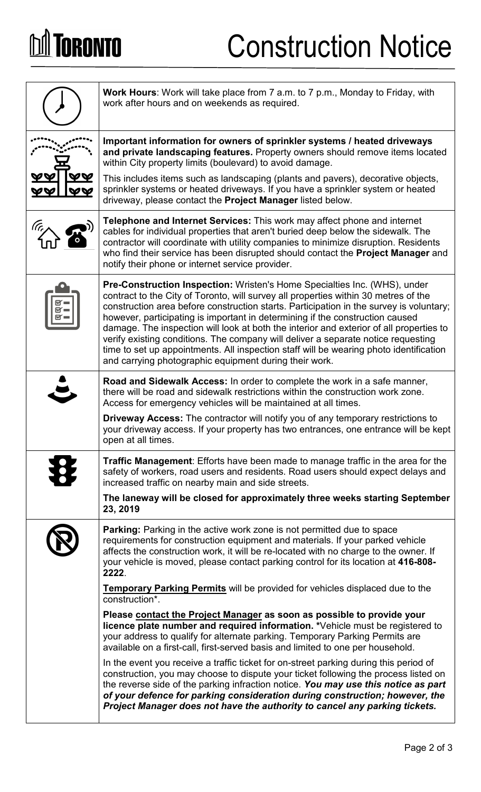# **DA TORONTO**

# Construction Notice

| Work Hours: Work will take place from 7 a.m. to 7 p.m., Monday to Friday, with<br>work after hours and on weekends as required.                                                                                                                                                                                                                                                                                                                                                                                                                                                                                                                                                         |
|-----------------------------------------------------------------------------------------------------------------------------------------------------------------------------------------------------------------------------------------------------------------------------------------------------------------------------------------------------------------------------------------------------------------------------------------------------------------------------------------------------------------------------------------------------------------------------------------------------------------------------------------------------------------------------------------|
| Important information for owners of sprinkler systems / heated driveways<br>and private landscaping features. Property owners should remove items located<br>within City property limits (boulevard) to avoid damage.                                                                                                                                                                                                                                                                                                                                                                                                                                                                   |
| This includes items such as landscaping (plants and pavers), decorative objects,<br>sprinkler systems or heated driveways. If you have a sprinkler system or heated<br>driveway, please contact the Project Manager listed below.                                                                                                                                                                                                                                                                                                                                                                                                                                                       |
| Telephone and Internet Services: This work may affect phone and internet<br>cables for individual properties that aren't buried deep below the sidewalk. The<br>contractor will coordinate with utility companies to minimize disruption. Residents<br>who find their service has been disrupted should contact the Project Manager and<br>notify their phone or internet service provider.                                                                                                                                                                                                                                                                                             |
| <b>Pre-Construction Inspection:</b> Wristen's Home Specialties Inc. (WHS), under<br>contract to the City of Toronto, will survey all properties within 30 metres of the<br>construction area before construction starts. Participation in the survey is voluntary;<br>however, participating is important in determining if the construction caused<br>damage. The inspection will look at both the interior and exterior of all properties to<br>verify existing conditions. The company will deliver a separate notice requesting<br>time to set up appointments. All inspection staff will be wearing photo identification<br>and carrying photographic equipment during their work. |
| Road and Sidewalk Access: In order to complete the work in a safe manner,<br>there will be road and sidewalk restrictions within the construction work zone.<br>Access for emergency vehicles will be maintained at all times.                                                                                                                                                                                                                                                                                                                                                                                                                                                          |
| <b>Driveway Access:</b> The contractor will notify you of any temporary restrictions to<br>your driveway access. If your property has two entrances, one entrance will be kept<br>open at all times.                                                                                                                                                                                                                                                                                                                                                                                                                                                                                    |
| <b>Traffic Management:</b> Efforts have been made to manage traffic in the area for the<br>safety of workers, road users and residents. Road users should expect delays and<br>increased traffic on nearby main and side streets.                                                                                                                                                                                                                                                                                                                                                                                                                                                       |
| The laneway will be closed for approximately three weeks starting September<br>23, 2019                                                                                                                                                                                                                                                                                                                                                                                                                                                                                                                                                                                                 |
| <b>Parking:</b> Parking in the active work zone is not permitted due to space<br>requirements for construction equipment and materials. If your parked vehicle<br>affects the construction work, it will be re-located with no charge to the owner. If<br>your vehicle is moved, please contact parking control for its location at 416-808-<br>2222.                                                                                                                                                                                                                                                                                                                                   |
| Temporary Parking Permits will be provided for vehicles displaced due to the<br>construction*.                                                                                                                                                                                                                                                                                                                                                                                                                                                                                                                                                                                          |
| Please contact the Project Manager as soon as possible to provide your<br>licence plate number and required information. *Vehicle must be registered to<br>your address to qualify for alternate parking. Temporary Parking Permits are<br>available on a first-call, first-served basis and limited to one per household.                                                                                                                                                                                                                                                                                                                                                              |
| In the event you receive a traffic ticket for on-street parking during this period of<br>construction, you may choose to dispute your ticket following the process listed on<br>the reverse side of the parking infraction notice. You may use this notice as part<br>of your defence for parking consideration during construction; however, the<br>Project Manager does not have the authority to cancel any parking tickets.                                                                                                                                                                                                                                                         |